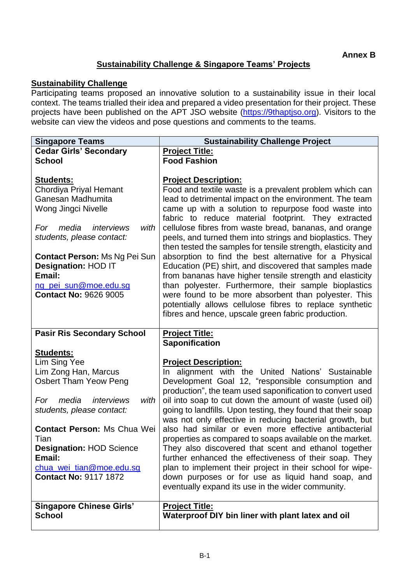## **Sustainability Challenge & Singapore Teams' Projects**

## **Sustainability Challenge**

Participating teams proposed an innovative solution to a sustainability issue in their local context. The teams trialled their idea and prepared a video presentation for their project. These projects have been published on the APT JSO website [\(https://9thaptjso.org\)](https://9thaptjso.org/). Visitors to the website can view the videos and pose questions and comments to the teams.

| <b>Singapore Teams</b>               | <b>Sustainability Challenge Project</b>                                                                                   |
|--------------------------------------|---------------------------------------------------------------------------------------------------------------------------|
| <b>Cedar Girls' Secondary</b>        | <b>Project Title:</b>                                                                                                     |
| <b>School</b>                        | <b>Food Fashion</b>                                                                                                       |
|                                      |                                                                                                                           |
| <b>Students:</b>                     | <b>Project Description:</b>                                                                                               |
| Chordiya Priyal Hemant               | Food and textile waste is a prevalent problem which can                                                                   |
| Ganesan Madhumita                    | lead to detrimental impact on the environment. The team                                                                   |
| Wong Jingci Nivelle                  | came up with a solution to repurpose food waste into<br>fabric to reduce material footprint. They extracted               |
| media<br>interviews<br>with<br>For   | cellulose fibres from waste bread, bananas, and orange                                                                    |
| students, please contact:            | peels, and turned them into strings and bioplastics. They<br>then tested the samples for tensile strength, elasticity and |
| <b>Contact Person: Ms Ng Pei Sun</b> | absorption to find the best alternative for a Physical                                                                    |
| <b>Designation: HOD IT</b>           | Education (PE) shirt, and discovered that samples made                                                                    |
| Email:                               | from bananas have higher tensile strength and elasticity                                                                  |
| ng pei sun@moe.edu.sg                | than polyester. Furthermore, their sample bioplastics                                                                     |
| <b>Contact No: 9626 9005</b>         | were found to be more absorbent than polyester. This                                                                      |
|                                      | potentially allows cellulose fibres to replace synthetic                                                                  |
|                                      | fibres and hence, upscale green fabric production.                                                                        |
|                                      |                                                                                                                           |
| <b>Pasir Ris Secondary School</b>    | <b>Project Title:</b><br><b>Saponification</b>                                                                            |
| <b>Students:</b>                     |                                                                                                                           |
| Lim Sing Yee                         | <b>Project Description:</b>                                                                                               |
| Lim Zong Han, Marcus                 | In alignment with the United Nations' Sustainable                                                                         |
| <b>Osbert Tham Yeow Peng</b>         | Development Goal 12, "responsible consumption and                                                                         |
|                                      | production", the team used saponification to convert used                                                                 |
| media<br>interviews<br>with<br>For   | oil into soap to cut down the amount of waste (used oil)                                                                  |
| students, please contact:            | going to landfills. Upon testing, they found that their soap                                                              |
|                                      | was not only effective in reducing bacterial growth, but                                                                  |
| Contact Person: Ms Chua Wei          | also had similar or even more effective antibacterial                                                                     |
| Tian                                 | properties as compared to soaps available on the market.                                                                  |
| <b>Designation: HOD Science</b>      | They also discovered that scent and ethanol together                                                                      |
| Email:<br>chua wei tian@moe.edu.sg   | further enhanced the effectiveness of their soap. They<br>plan to implement their project in their school for wipe-       |
| <b>Contact No: 9117 1872</b>         | down purposes or for use as liquid hand soap, and                                                                         |
|                                      | eventually expand its use in the wider community.                                                                         |
|                                      |                                                                                                                           |
| <b>Singapore Chinese Girls'</b>      | <b>Project Title:</b>                                                                                                     |
| <b>School</b>                        | Waterproof DIY bin liner with plant latex and oil                                                                         |
|                                      |                                                                                                                           |